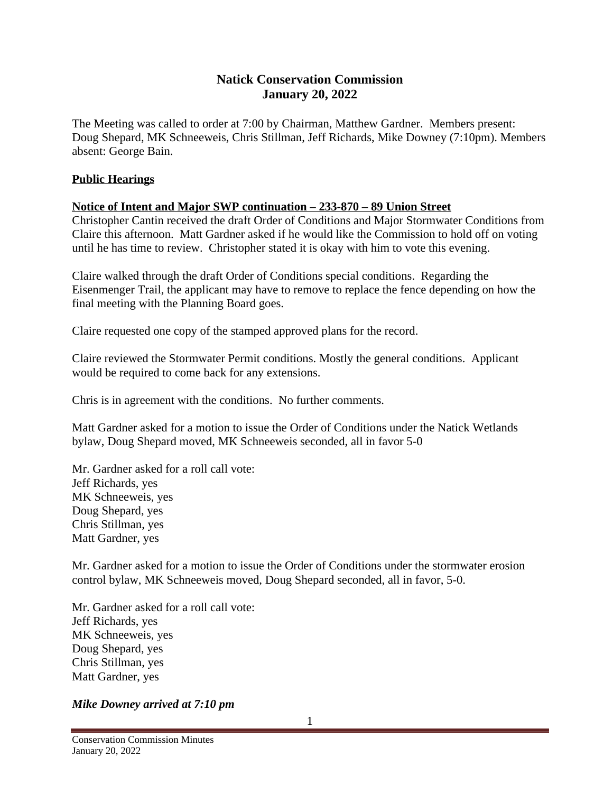# **Natick Conservation Commission January 20, 2022**

The Meeting was called to order at 7:00 by Chairman, Matthew Gardner. Members present: Doug Shepard, MK Schneeweis, Chris Stillman, Jeff Richards, Mike Downey (7:10pm). Members absent: George Bain.

## **Public Hearings**

### **Notice of Intent and Major SWP continuation – 233-870 – 89 Union Street**

Christopher Cantin received the draft Order of Conditions and Major Stormwater Conditions from Claire this afternoon. Matt Gardner asked if he would like the Commission to hold off on voting until he has time to review. Christopher stated it is okay with him to vote this evening.

Claire walked through the draft Order of Conditions special conditions. Regarding the Eisenmenger Trail, the applicant may have to remove to replace the fence depending on how the final meeting with the Planning Board goes.

Claire requested one copy of the stamped approved plans for the record.

Claire reviewed the Stormwater Permit conditions. Mostly the general conditions. Applicant would be required to come back for any extensions.

Chris is in agreement with the conditions. No further comments.

Matt Gardner asked for a motion to issue the Order of Conditions under the Natick Wetlands bylaw, Doug Shepard moved, MK Schneeweis seconded, all in favor 5-0

Mr. Gardner asked for a roll call vote: Jeff Richards, yes MK Schneeweis, yes Doug Shepard, yes Chris Stillman, yes Matt Gardner, yes

Mr. Gardner asked for a motion to issue the Order of Conditions under the stormwater erosion control bylaw, MK Schneeweis moved, Doug Shepard seconded, all in favor, 5-0.

Mr. Gardner asked for a roll call vote: Jeff Richards, yes MK Schneeweis, yes Doug Shepard, yes Chris Stillman, yes Matt Gardner, yes

## *Mike Downey arrived at 7:10 pm*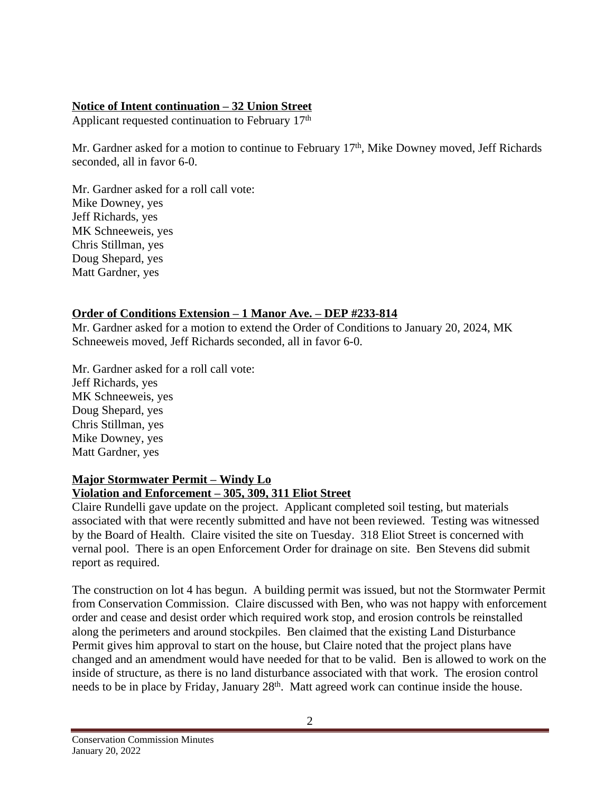### **Notice of Intent continuation – 32 Union Street**

Applicant requested continuation to February 17th

Mr. Gardner asked for a motion to continue to February 17<sup>th</sup>, Mike Downey moved, Jeff Richards seconded, all in favor 6-0.

Mr. Gardner asked for a roll call vote: Mike Downey, yes Jeff Richards, yes MK Schneeweis, yes Chris Stillman, yes Doug Shepard, yes Matt Gardner, yes

### **Order of Conditions Extension – 1 Manor Ave. – DEP #233-814**

Mr. Gardner asked for a motion to extend the Order of Conditions to January 20, 2024, MK Schneeweis moved, Jeff Richards seconded, all in favor 6-0.

Mr. Gardner asked for a roll call vote: Jeff Richards, yes MK Schneeweis, yes Doug Shepard, yes Chris Stillman, yes Mike Downey, yes Matt Gardner, yes

#### **Major Stormwater Permit – Windy Lo Violation and Enforcement – 305, 309, 311 Eliot Street**

Claire Rundelli gave update on the project. Applicant completed soil testing, but materials associated with that were recently submitted and have not been reviewed. Testing was witnessed by the Board of Health. Claire visited the site on Tuesday. 318 Eliot Street is concerned with vernal pool. There is an open Enforcement Order for drainage on site. Ben Stevens did submit report as required.

The construction on lot 4 has begun. A building permit was issued, but not the Stormwater Permit from Conservation Commission. Claire discussed with Ben, who was not happy with enforcement order and cease and desist order which required work stop, and erosion controls be reinstalled along the perimeters and around stockpiles. Ben claimed that the existing Land Disturbance Permit gives him approval to start on the house, but Claire noted that the project plans have changed and an amendment would have needed for that to be valid. Ben is allowed to work on the inside of structure, as there is no land disturbance associated with that work. The erosion control needs to be in place by Friday, January 28<sup>th</sup>. Matt agreed work can continue inside the house.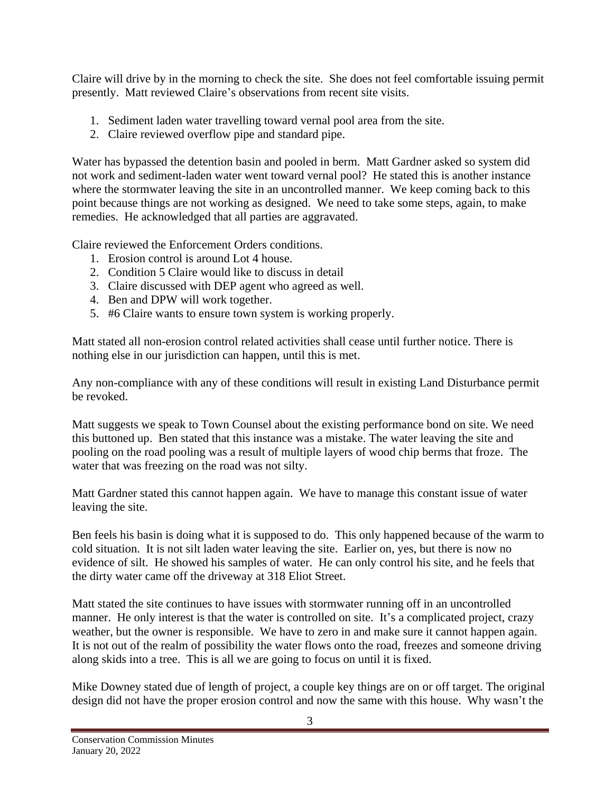Claire will drive by in the morning to check the site. She does not feel comfortable issuing permit presently. Matt reviewed Claire's observations from recent site visits.

- 1. Sediment laden water travelling toward vernal pool area from the site.
- 2. Claire reviewed overflow pipe and standard pipe.

Water has bypassed the detention basin and pooled in berm. Matt Gardner asked so system did not work and sediment-laden water went toward vernal pool? He stated this is another instance where the stormwater leaving the site in an uncontrolled manner. We keep coming back to this point because things are not working as designed. We need to take some steps, again, to make remedies. He acknowledged that all parties are aggravated.

Claire reviewed the Enforcement Orders conditions.

- 1. Erosion control is around Lot 4 house.
- 2. Condition 5 Claire would like to discuss in detail
- 3. Claire discussed with DEP agent who agreed as well.
- 4. Ben and DPW will work together.
- 5. #6 Claire wants to ensure town system is working properly.

Matt stated all non-erosion control related activities shall cease until further notice. There is nothing else in our jurisdiction can happen, until this is met.

Any non-compliance with any of these conditions will result in existing Land Disturbance permit be revoked.

Matt suggests we speak to Town Counsel about the existing performance bond on site. We need this buttoned up. Ben stated that this instance was a mistake. The water leaving the site and pooling on the road pooling was a result of multiple layers of wood chip berms that froze. The water that was freezing on the road was not silty.

Matt Gardner stated this cannot happen again. We have to manage this constant issue of water leaving the site.

Ben feels his basin is doing what it is supposed to do. This only happened because of the warm to cold situation. It is not silt laden water leaving the site. Earlier on, yes, but there is now no evidence of silt. He showed his samples of water. He can only control his site, and he feels that the dirty water came off the driveway at 318 Eliot Street.

Matt stated the site continues to have issues with stormwater running off in an uncontrolled manner. He only interest is that the water is controlled on site. It's a complicated project, crazy weather, but the owner is responsible. We have to zero in and make sure it cannot happen again. It is not out of the realm of possibility the water flows onto the road, freezes and someone driving along skids into a tree. This is all we are going to focus on until it is fixed.

Mike Downey stated due of length of project, a couple key things are on or off target. The original design did not have the proper erosion control and now the same with this house. Why wasn't the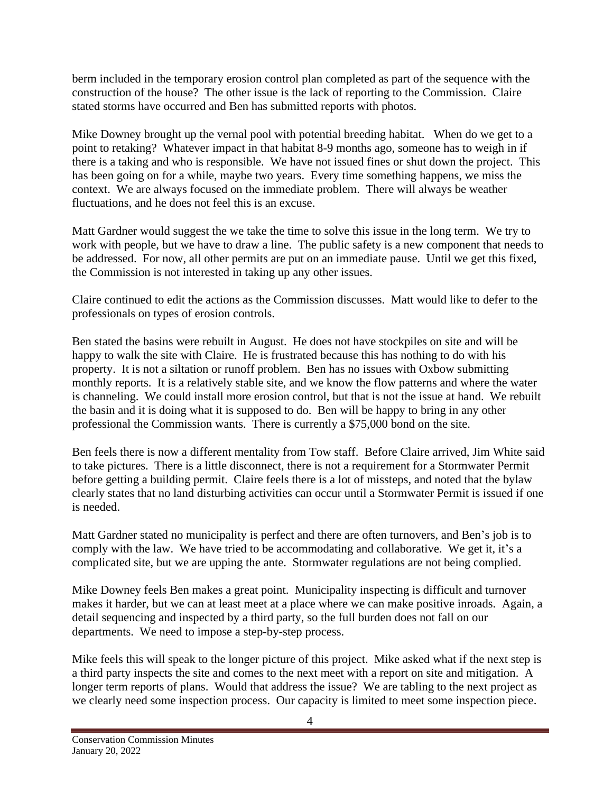berm included in the temporary erosion control plan completed as part of the sequence with the construction of the house? The other issue is the lack of reporting to the Commission. Claire stated storms have occurred and Ben has submitted reports with photos.

Mike Downey brought up the vernal pool with potential breeding habitat. When do we get to a point to retaking? Whatever impact in that habitat 8-9 months ago, someone has to weigh in if there is a taking and who is responsible. We have not issued fines or shut down the project. This has been going on for a while, maybe two years. Every time something happens, we miss the context. We are always focused on the immediate problem. There will always be weather fluctuations, and he does not feel this is an excuse.

Matt Gardner would suggest the we take the time to solve this issue in the long term. We try to work with people, but we have to draw a line. The public safety is a new component that needs to be addressed. For now, all other permits are put on an immediate pause. Until we get this fixed, the Commission is not interested in taking up any other issues.

Claire continued to edit the actions as the Commission discusses. Matt would like to defer to the professionals on types of erosion controls.

Ben stated the basins were rebuilt in August. He does not have stockpiles on site and will be happy to walk the site with Claire. He is frustrated because this has nothing to do with his property. It is not a siltation or runoff problem. Ben has no issues with Oxbow submitting monthly reports. It is a relatively stable site, and we know the flow patterns and where the water is channeling. We could install more erosion control, but that is not the issue at hand. We rebuilt the basin and it is doing what it is supposed to do. Ben will be happy to bring in any other professional the Commission wants. There is currently a \$75,000 bond on the site.

Ben feels there is now a different mentality from Tow staff. Before Claire arrived, Jim White said to take pictures. There is a little disconnect, there is not a requirement for a Stormwater Permit before getting a building permit. Claire feels there is a lot of missteps, and noted that the bylaw clearly states that no land disturbing activities can occur until a Stormwater Permit is issued if one is needed.

Matt Gardner stated no municipality is perfect and there are often turnovers, and Ben's job is to comply with the law. We have tried to be accommodating and collaborative. We get it, it's a complicated site, but we are upping the ante. Stormwater regulations are not being complied.

Mike Downey feels Ben makes a great point. Municipality inspecting is difficult and turnover makes it harder, but we can at least meet at a place where we can make positive inroads. Again, a detail sequencing and inspected by a third party, so the full burden does not fall on our departments. We need to impose a step-by-step process.

Mike feels this will speak to the longer picture of this project. Mike asked what if the next step is a third party inspects the site and comes to the next meet with a report on site and mitigation. A longer term reports of plans. Would that address the issue? We are tabling to the next project as we clearly need some inspection process. Our capacity is limited to meet some inspection piece.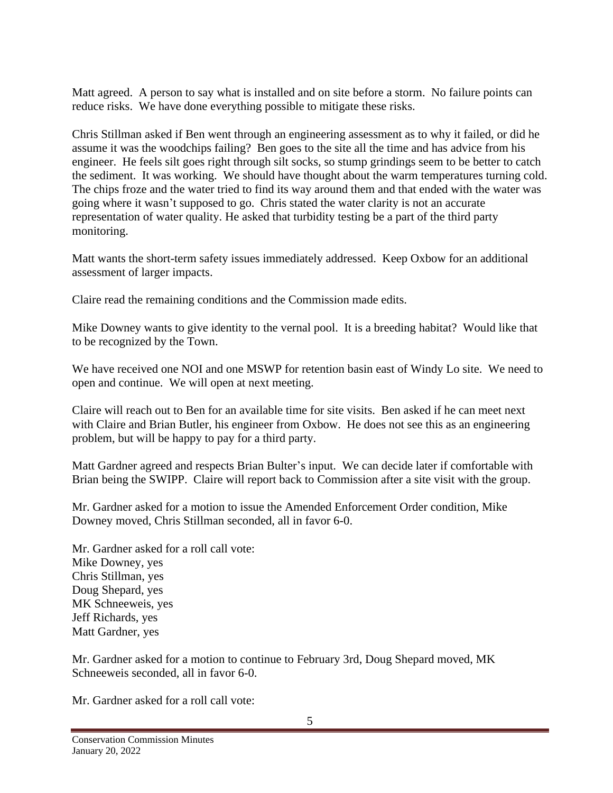Matt agreed. A person to say what is installed and on site before a storm. No failure points can reduce risks. We have done everything possible to mitigate these risks.

Chris Stillman asked if Ben went through an engineering assessment as to why it failed, or did he assume it was the woodchips failing? Ben goes to the site all the time and has advice from his engineer. He feels silt goes right through silt socks, so stump grindings seem to be better to catch the sediment. It was working. We should have thought about the warm temperatures turning cold. The chips froze and the water tried to find its way around them and that ended with the water was going where it wasn't supposed to go. Chris stated the water clarity is not an accurate representation of water quality. He asked that turbidity testing be a part of the third party monitoring.

Matt wants the short-term safety issues immediately addressed. Keep Oxbow for an additional assessment of larger impacts.

Claire read the remaining conditions and the Commission made edits.

Mike Downey wants to give identity to the vernal pool. It is a breeding habitat? Would like that to be recognized by the Town.

We have received one NOI and one MSWP for retention basin east of Windy Lo site. We need to open and continue. We will open at next meeting.

Claire will reach out to Ben for an available time for site visits. Ben asked if he can meet next with Claire and Brian Butler, his engineer from Oxbow. He does not see this as an engineering problem, but will be happy to pay for a third party.

Matt Gardner agreed and respects Brian Bulter's input. We can decide later if comfortable with Brian being the SWIPP. Claire will report back to Commission after a site visit with the group.

Mr. Gardner asked for a motion to issue the Amended Enforcement Order condition, Mike Downey moved, Chris Stillman seconded, all in favor 6-0.

Mr. Gardner asked for a roll call vote: Mike Downey, yes Chris Stillman, yes Doug Shepard, yes MK Schneeweis, yes Jeff Richards, yes Matt Gardner, yes

Mr. Gardner asked for a motion to continue to February 3rd, Doug Shepard moved, MK Schneeweis seconded, all in favor 6-0.

Mr. Gardner asked for a roll call vote: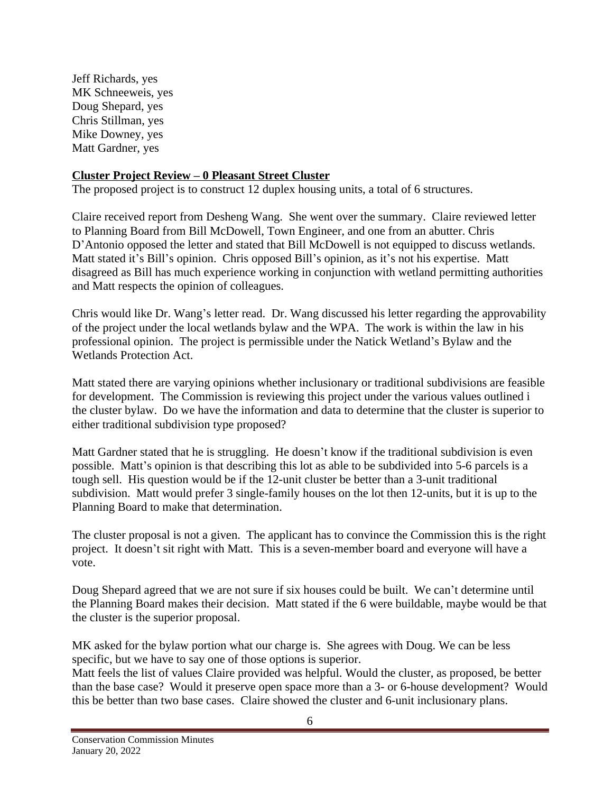Jeff Richards, yes MK Schneeweis, yes Doug Shepard, yes Chris Stillman, yes Mike Downey, yes Matt Gardner, yes

### **Cluster Project Review – 0 Pleasant Street Cluster**

The proposed project is to construct 12 duplex housing units, a total of 6 structures.

Claire received report from Desheng Wang. She went over the summary. Claire reviewed letter to Planning Board from Bill McDowell, Town Engineer, and one from an abutter. Chris D'Antonio opposed the letter and stated that Bill McDowell is not equipped to discuss wetlands. Matt stated it's Bill's opinion. Chris opposed Bill's opinion, as it's not his expertise. Matt disagreed as Bill has much experience working in conjunction with wetland permitting authorities and Matt respects the opinion of colleagues.

Chris would like Dr. Wang's letter read. Dr. Wang discussed his letter regarding the approvability of the project under the local wetlands bylaw and the WPA. The work is within the law in his professional opinion. The project is permissible under the Natick Wetland's Bylaw and the Wetlands Protection Act.

Matt stated there are varying opinions whether inclusionary or traditional subdivisions are feasible for development. The Commission is reviewing this project under the various values outlined i the cluster bylaw. Do we have the information and data to determine that the cluster is superior to either traditional subdivision type proposed?

Matt Gardner stated that he is struggling. He doesn't know if the traditional subdivision is even possible. Matt's opinion is that describing this lot as able to be subdivided into 5-6 parcels is a tough sell. His question would be if the 12-unit cluster be better than a 3-unit traditional subdivision. Matt would prefer 3 single-family houses on the lot then 12-units, but it is up to the Planning Board to make that determination.

The cluster proposal is not a given. The applicant has to convince the Commission this is the right project. It doesn't sit right with Matt. This is a seven-member board and everyone will have a vote.

Doug Shepard agreed that we are not sure if six houses could be built. We can't determine until the Planning Board makes their decision. Matt stated if the 6 were buildable, maybe would be that the cluster is the superior proposal.

MK asked for the bylaw portion what our charge is. She agrees with Doug. We can be less specific, but we have to say one of those options is superior.

Matt feels the list of values Claire provided was helpful. Would the cluster, as proposed, be better than the base case? Would it preserve open space more than a 3- or 6-house development? Would this be better than two base cases. Claire showed the cluster and 6-unit inclusionary plans.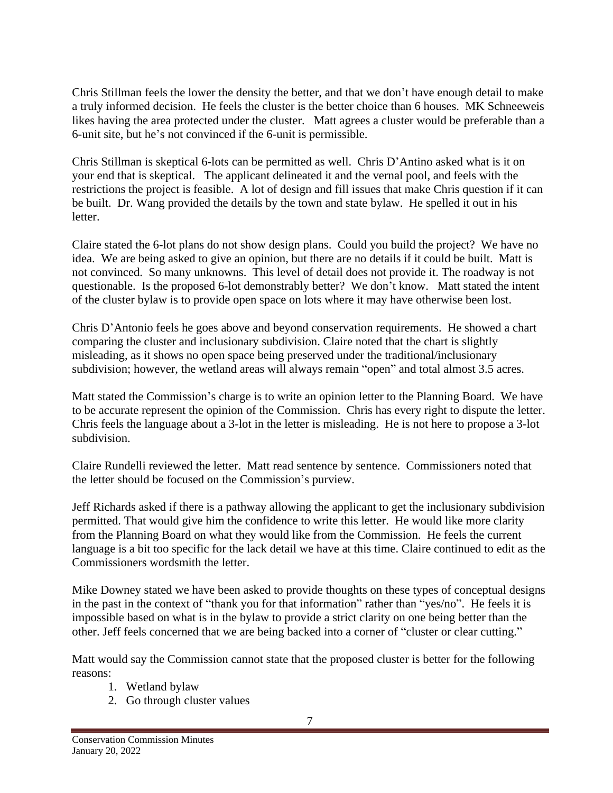Chris Stillman feels the lower the density the better, and that we don't have enough detail to make a truly informed decision. He feels the cluster is the better choice than 6 houses. MK Schneeweis likes having the area protected under the cluster. Matt agrees a cluster would be preferable than a 6-unit site, but he's not convinced if the 6-unit is permissible.

Chris Stillman is skeptical 6-lots can be permitted as well. Chris D'Antino asked what is it on your end that is skeptical. The applicant delineated it and the vernal pool, and feels with the restrictions the project is feasible. A lot of design and fill issues that make Chris question if it can be built. Dr. Wang provided the details by the town and state bylaw. He spelled it out in his letter.

Claire stated the 6-lot plans do not show design plans. Could you build the project? We have no idea. We are being asked to give an opinion, but there are no details if it could be built. Matt is not convinced. So many unknowns. This level of detail does not provide it. The roadway is not questionable. Is the proposed 6-lot demonstrably better? We don't know. Matt stated the intent of the cluster bylaw is to provide open space on lots where it may have otherwise been lost.

Chris D'Antonio feels he goes above and beyond conservation requirements. He showed a chart comparing the cluster and inclusionary subdivision. Claire noted that the chart is slightly misleading, as it shows no open space being preserved under the traditional/inclusionary subdivision; however, the wetland areas will always remain "open" and total almost 3.5 acres.

Matt stated the Commission's charge is to write an opinion letter to the Planning Board. We have to be accurate represent the opinion of the Commission. Chris has every right to dispute the letter. Chris feels the language about a 3-lot in the letter is misleading. He is not here to propose a 3-lot subdivision.

Claire Rundelli reviewed the letter. Matt read sentence by sentence. Commissioners noted that the letter should be focused on the Commission's purview.

Jeff Richards asked if there is a pathway allowing the applicant to get the inclusionary subdivision permitted. That would give him the confidence to write this letter. He would like more clarity from the Planning Board on what they would like from the Commission. He feels the current language is a bit too specific for the lack detail we have at this time. Claire continued to edit as the Commissioners wordsmith the letter.

Mike Downey stated we have been asked to provide thoughts on these types of conceptual designs in the past in the context of "thank you for that information" rather than "yes/no". He feels it is impossible based on what is in the bylaw to provide a strict clarity on one being better than the other. Jeff feels concerned that we are being backed into a corner of "cluster or clear cutting."

Matt would say the Commission cannot state that the proposed cluster is better for the following reasons:

- 1. Wetland bylaw
- 2. Go through cluster values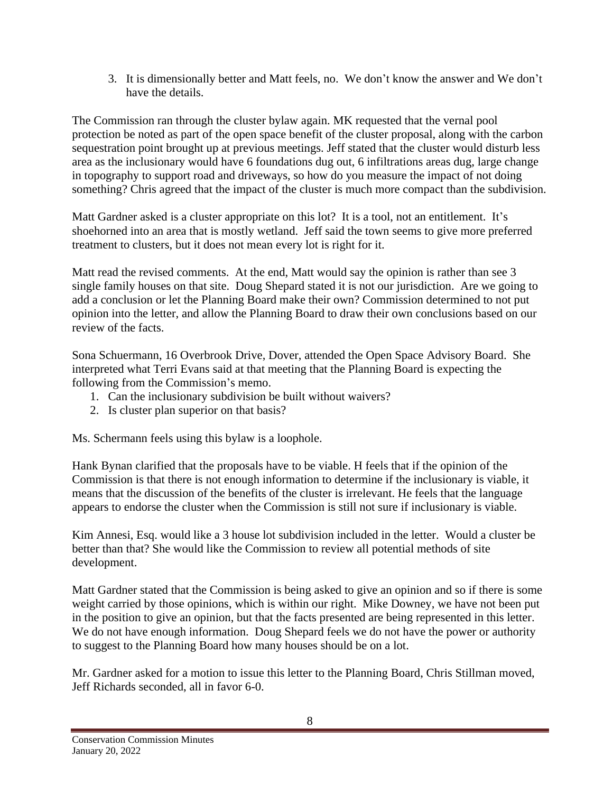3. It is dimensionally better and Matt feels, no. We don't know the answer and We don't have the details.

The Commission ran through the cluster bylaw again. MK requested that the vernal pool protection be noted as part of the open space benefit of the cluster proposal, along with the carbon sequestration point brought up at previous meetings. Jeff stated that the cluster would disturb less area as the inclusionary would have 6 foundations dug out, 6 infiltrations areas dug, large change in topography to support road and driveways, so how do you measure the impact of not doing something? Chris agreed that the impact of the cluster is much more compact than the subdivision.

Matt Gardner asked is a cluster appropriate on this lot? It is a tool, not an entitlement. It's shoehorned into an area that is mostly wetland. Jeff said the town seems to give more preferred treatment to clusters, but it does not mean every lot is right for it.

Matt read the revised comments. At the end, Matt would say the opinion is rather than see 3 single family houses on that site. Doug Shepard stated it is not our jurisdiction. Are we going to add a conclusion or let the Planning Board make their own? Commission determined to not put opinion into the letter, and allow the Planning Board to draw their own conclusions based on our review of the facts.

Sona Schuermann, 16 Overbrook Drive, Dover, attended the Open Space Advisory Board. She interpreted what Terri Evans said at that meeting that the Planning Board is expecting the following from the Commission's memo.

- 1. Can the inclusionary subdivision be built without waivers?
- 2. Is cluster plan superior on that basis?

Ms. Schermann feels using this bylaw is a loophole.

Hank Bynan clarified that the proposals have to be viable. H feels that if the opinion of the Commission is that there is not enough information to determine if the inclusionary is viable, it means that the discussion of the benefits of the cluster is irrelevant. He feels that the language appears to endorse the cluster when the Commission is still not sure if inclusionary is viable.

Kim Annesi, Esq. would like a 3 house lot subdivision included in the letter. Would a cluster be better than that? She would like the Commission to review all potential methods of site development.

Matt Gardner stated that the Commission is being asked to give an opinion and so if there is some weight carried by those opinions, which is within our right. Mike Downey, we have not been put in the position to give an opinion, but that the facts presented are being represented in this letter. We do not have enough information. Doug Shepard feels we do not have the power or authority to suggest to the Planning Board how many houses should be on a lot.

Mr. Gardner asked for a motion to issue this letter to the Planning Board, Chris Stillman moved, Jeff Richards seconded, all in favor 6-0.